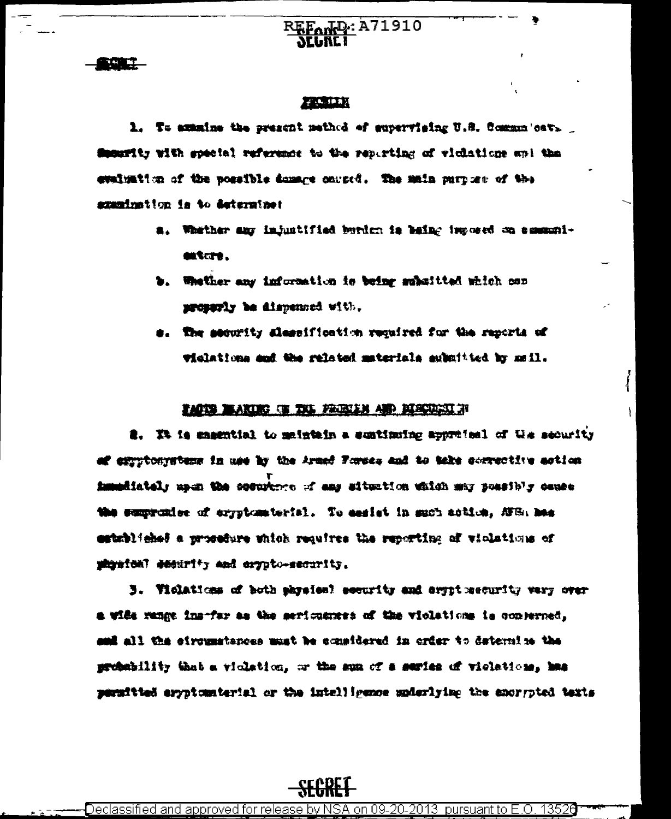$\tt L D: A71910$ 

1995

#### **PECULIA**

1. To attains the prescht method of eupervising U.S. Communicat. Security with special reference to the repurting of violations and the evaluation of the possible damage caused. The main purpose of the examination is to determine:

- a. Whether any injustified burden is being two oved on communiexters.
- b. Whather any information is being subsitted which can mechanix be dispensed with.
- s. The security alessification required for the reports of vislations and the related materials submitted by mail.

#### **IMAS BAKIRO O TAL PROVIN AND MONOGRAP**

**2. It is ensemblal to maintain a sumbination approfesi of the security** of empromystems in use by the Armed Forses and to take convective sotion immediately mpan the cosmutone of any situation which may possibly cause the sumpranies of errotomaterial. To easist in much action, AFSA has satablished a prosedure which requires the reporting of violations of physical emerity and erypto-security.

3. Violaticas of both physical security and argut macurity vary over a wide range ins-far as the seriouscres of the violations is conferred, sul all the eirounstances must be considered in order to determine the probability that a violation, or the sum of a series of violations, has permitted exyptomaterial or the intelligence underlying the encrypted texts

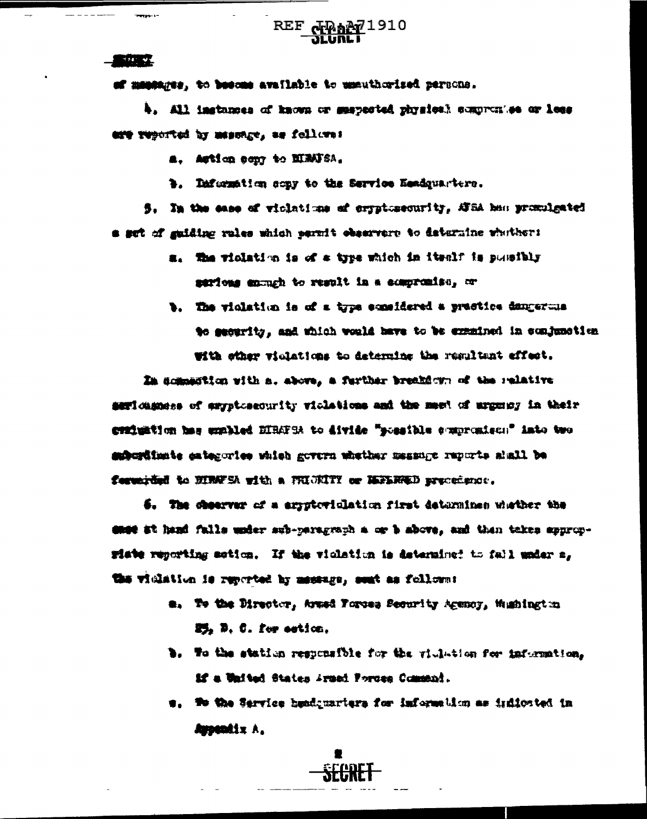# REF NPAPP1910

#### **REAL PROPE**

of memberss, to become available to meauthorized persons.

4. All instances of known or suspected physical compromies or less any reported by measure, as follows:

a. Artica cony to NIMISA.

b. Defermition copy to the Service Easiquarters.

5. In the ease of viclations of errptomeourity, ATSA has promulgated a set of guiding rules which parmit observare to determine whather:

- a. The violation is of a type which in itenif is pussibly sarious enough to result in a sompromise, or
- b. The violation is of a type equalized a prestice desperma to security, and which would have to be examined in conjunction with other violations to determine the resultant effect.

In dommedion with a. above, a further breakdown of the sulative seriousness of exyptosecurity violations and the mest of argumpy in their out ont "merimorated nighter to divide "searchine proposition" into two subcritinate entegories which govern whether message reports shall be ferential to HIRFSA with a FRIGHTY or NEERRED precedence.

6. The chosever of a smyrteviolation first determines whether the ence at hand falls under sub-paragraph a or b above, and then takes eppropriate reporting motics. If the violation is determined to fall under a, the violation is reported by message, sent as follows:

- a. To the Director, Armed Forces Security Agency, Hushington  $25.$  D. C. for action.
- b. To the station responsible for the violation for information, if a United States Armed Forces Command.
- s. To the Service headquarters for information as indicated in **Augustix A.**

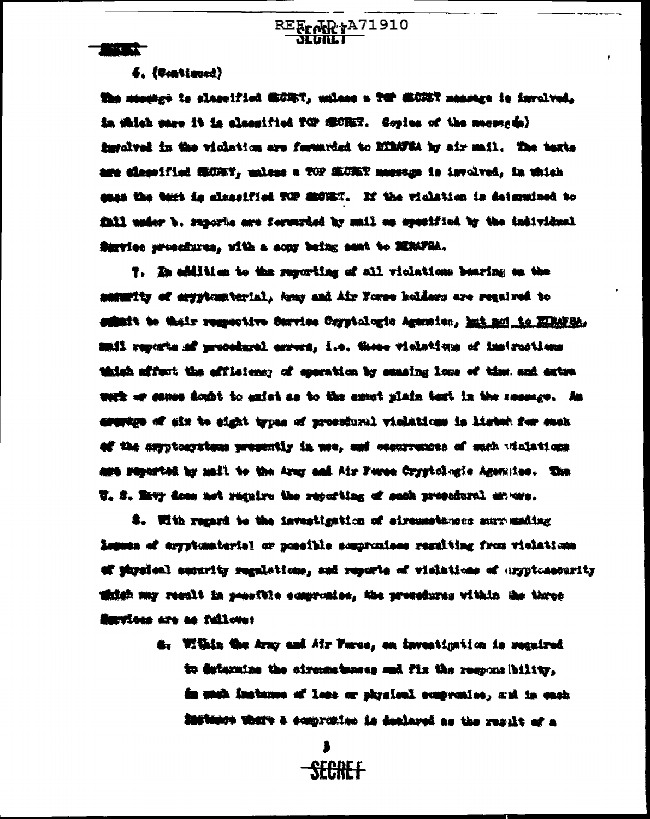# **RANGE A**

## 6. (Gentimed)

The measure to classified MCMT, unlase a TOP MCMT measure is involved. in thish same it in classified TCP SECRET. Copies of the pacental imsalved in the violation are fermatic to MIMWA hy air mail. The texts age clearified Chunk, unless a for Midner messae is involved, in which amas the text is classified TCP SMOTHT. If the violation is determined to fall under b. superts are forwarded by mail as myosified by the individual Survice presedures, with a sony being sent to Minifak,

T. In addition to the reporting of all violations bearing an the seggitty of exprimaterial, how and Air Forse holders are regulred to suhait te their rempective Sarrice Cnyptelogic Agencies, hat not to MIMGEA. mail reports of procedural errors. i.e. these violations of instructions thish affect the affleicas; of eperation by sensing loss of tim. and extra werk or conce doubt to exist as to the exact plain text in the measure. An crurice of six to sight types of prossiunal violations is listed for sook of the copytogratums promently in mot, and economences of such wiclations age reported by mail to the Army and Air Force Cryptclogic Agenuics. The U. S. Mavy does not require the reporting of such propoderal envoys.

8. With regard to the investigation of siremestances surprading Lumusa af arrytumaterial or possible sompronisme regulting from violations of physical security regulations, and resorts of violations of upptcasourity which may result in possible comprenies, the propodures within the three Sarvices are as fallows:

> 4. Within the Army and Air Ferse, as investigation is required. to determine the sirecastances and fix the responsibility. in men instance of less or physical comprenies, and in each Shitshop that's a compromise is dealayed as the result of a

> > ≸ **SEGREF**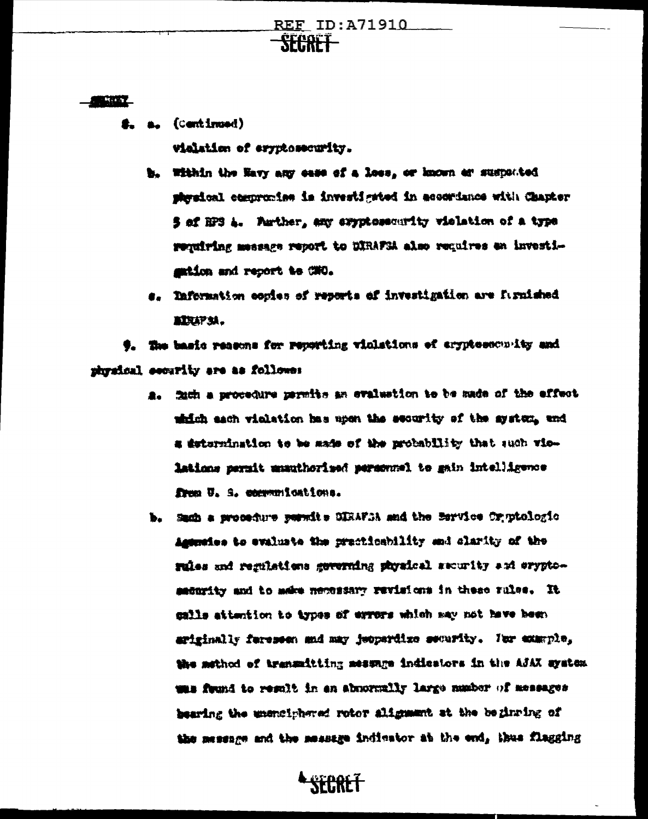#### **CTEST**

a. (Centinued) ≙.

vialation of erychosecurity.

- b. Within the Navy any case of a loss, or known as suspected steraionl compromise in investigated in accordance with Chapter 5 of EPS A. Parther, any exyptersourity vislation of a type requiring message report to DIRAFSA also requires on investisution and report to CNO.
- s. Information copies of reports of investigation are furnished **AIRAFM.**

9. The basic reasons for reporting violations of aryptessounity and mhraical security are as follower

- a. Such a procedure permits an evaluation to be made of the effect which each violation has upon the security of the system, and a determination te be made of the probability that such violations permit manuthorized personnel to gain intelligence From U. S. convenientions.
- b. Sach a procedure permits DIRAFSA and the Bervice Cryptologic Assumates to evaluate the practicability and clarity of the rules and regulations geverning physical security and eryptoamentity and to make necessary revisions in these rules. It calls attention to types of errors which may not have hewn ariginally fereseen and may jeepardize security. For example, the method of transmitting mesunge indicators in the AJAX system was found to result in an abnormally large number of messages bearing the unemciphered rotor alignment at the beginning of the message and the message indicator at the end, thus flagging

# **SFCRET**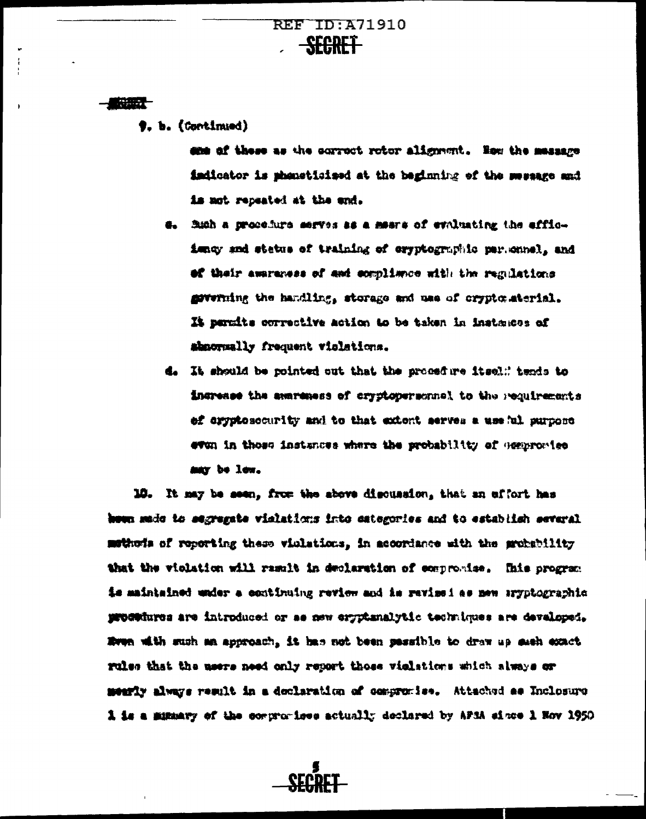#### 松照子

9. b. (Continued)

die of these as the correct rotor alignment. Hew the messing indicator is pheneticised at the baginning of the mesage and is not repeated at the end.

- d. Sich a procedure serves as a means of evaluating the afficimay and status of training of errptographic personnel, and of their amarewss of and complimes with the regulations swerning the handling, storage and use of cryptcaterial. It mermits corrective action to be taken in instances of Abnormally frequent violations.
- d. It should be pointed out that the procedure itself tends to ingresse the anareness of cryptopersonnel to the requirements of cryptosocurity and to that extent serves a useful purpose even in those instances where the probability of esperovise may be low.

10. It may be seen, from the above discussion, that an offort has hown made to segregate vislations into estegories and to establish several muthods of reporting these violations. in accordance with the mobability that the violation will rasult in declaration of compromise. This program is maintained under a continuing review and is revisei as new aryptographic prostitures are introduced or as new exyptenalytic techniques are devaloped. Nove with such an approach, it has not been passible to draw up such exact rules that the users need only report those violations which always or mently always result in a doclaration of compromise. Attached as Inclosure **1 is a minutry of the compromises actually declared by APSA since 1 Nov 1950** 

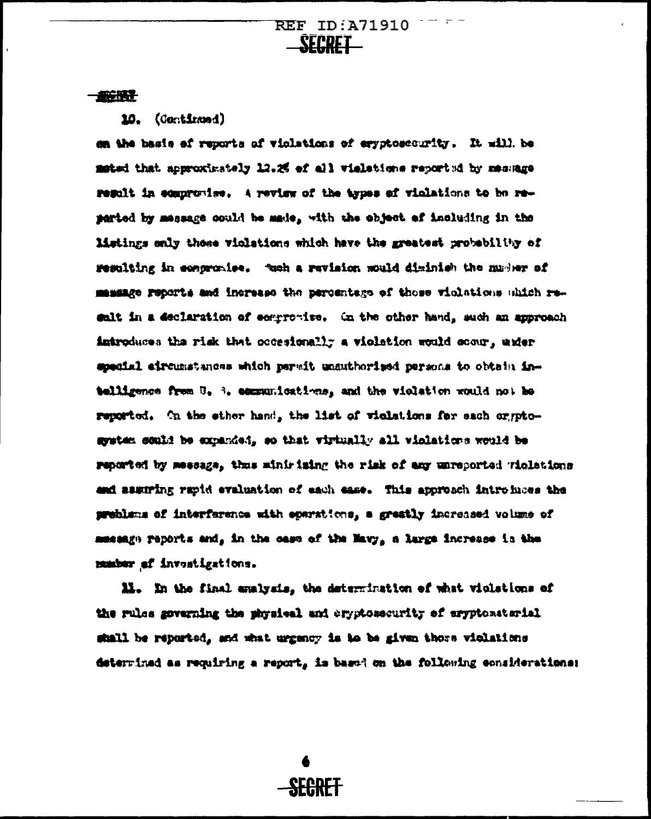### **SECOND**

10. (Continued)

an the basis of reports of violations of eryptoscourity. It will be mated that approximately 12.25 of all vislations reported by message result in edmorovise. A review of the trues of violations to be reparted by massage could be made, with the object of including in the Matings only those violations which have the greatest probability of resulting in congranice. Tuch a revision mould diminish the number of mensage reports and increase the percentage of these violations which resalt in a declaration of ecgrrowise. On the other hand, such an approach introduces the risk that occesionally a violation would scour, weigr aposial eircumstances which permit unsuthorised persons to obtain intelligence from U. 3. communications, and the violation would not be reported. On the ether hand, the list of violations for each orgotosystem could be expanded, so that virtually all violations would be reported by message, thus minirising the risk of any unreported violations and samming rapid evaluation of each ease. This approach introduces the preblems of interference with eparations, a greatly increased volume of museage reports and, in the case of the Mavy, a large increase is the mumber of investigations.

11. In the final analysis, the determination of what violations of the rules governing the physical and cryptosecurity of eryptonaterial shall be reported, and what urgency is to be given thore violations determined as requiring a report, is based on the following considerations: